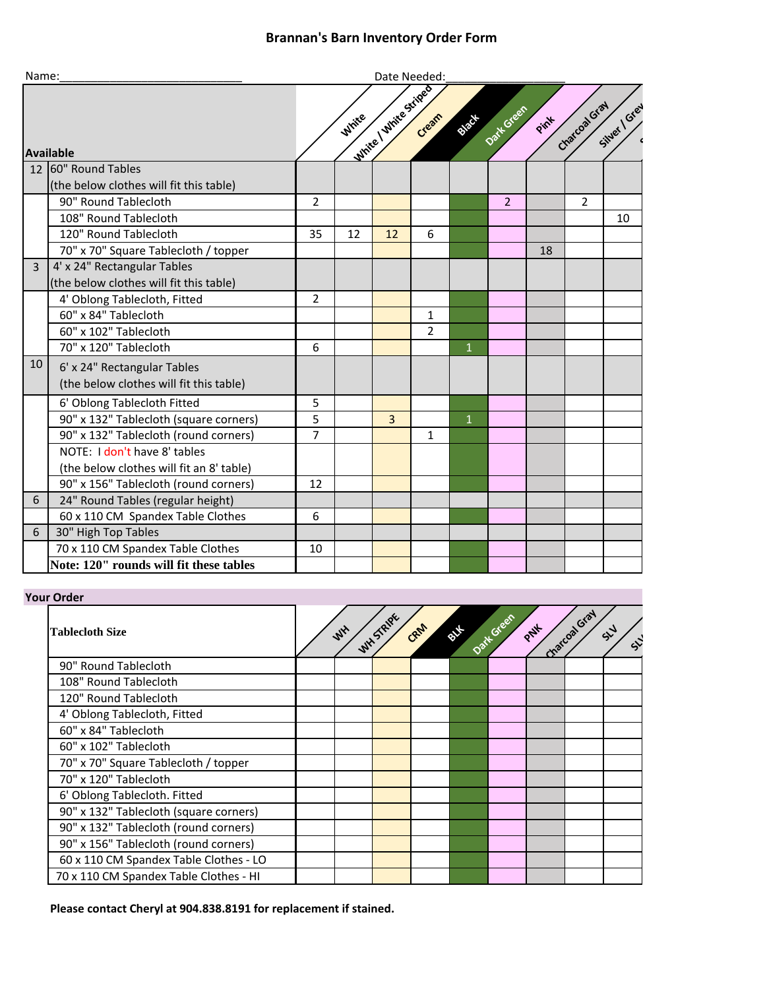## **Brannan's Barn Inventory Order Form**

| Name:        |                                          | Date Needed:   |       |                       |                |              |                |      |                |               |  |
|--------------|------------------------------------------|----------------|-------|-----------------------|----------------|--------------|----------------|------|----------------|---------------|--|
| Available    |                                          |                | White | White / White Striped | Cream          | SISSE A      | Datt Green     | Pint | Charged Gray   | Silver / Grey |  |
|              | 12 60" Round Tables                      |                |       |                       |                |              |                |      |                |               |  |
|              | (the below clothes will fit this table)  |                |       |                       |                |              |                |      |                |               |  |
|              | 90" Round Tablecloth                     | $\overline{2}$ |       |                       |                |              | $\overline{2}$ |      | $\overline{2}$ |               |  |
|              | 108" Round Tablecloth                    |                |       |                       |                |              |                |      |                | 10            |  |
|              | 120" Round Tablecloth                    | 35             | 12    | 12                    | 6              |              |                |      |                |               |  |
|              | 70" x 70" Square Tablecloth / topper     |                |       |                       |                |              |                | 18   |                |               |  |
| $\mathbf{3}$ | 4' x 24" Rectangular Tables              |                |       |                       |                |              |                |      |                |               |  |
|              | (the below clothes will fit this table)  |                |       |                       |                |              |                |      |                |               |  |
|              | 4' Oblong Tablecloth, Fitted             | $\overline{2}$ |       |                       |                |              |                |      |                |               |  |
|              | 60" x 84" Tablecloth                     |                |       |                       | 1              |              |                |      |                |               |  |
|              | 60" x 102" Tablecloth                    |                |       |                       | $\overline{2}$ |              |                |      |                |               |  |
|              | 70" x 120" Tablecloth                    | 6              |       |                       |                | $\mathbf{1}$ |                |      |                |               |  |
| 10           | 6' x 24" Rectangular Tables              |                |       |                       |                |              |                |      |                |               |  |
|              | (the below clothes will fit this table)  |                |       |                       |                |              |                |      |                |               |  |
|              | 6' Oblong Tablecloth Fitted              | 5              |       |                       |                |              |                |      |                |               |  |
|              | 90" x 132" Tablecloth (square corners)   | 5              |       | 3                     |                | $\mathbf{1}$ |                |      |                |               |  |
|              | 90" x 132" Tablecloth (round corners)    | $\overline{7}$ |       |                       | 1              |              |                |      |                |               |  |
|              | NOTE: I don't have 8' tables             |                |       |                       |                |              |                |      |                |               |  |
|              | (the below clothes will fit an 8' table) |                |       |                       |                |              |                |      |                |               |  |
|              | 90" x 156" Tablecloth (round corners)    | 12             |       |                       |                |              |                |      |                |               |  |
| 6            | 24" Round Tables (regular height)        |                |       |                       |                |              |                |      |                |               |  |
|              | 60 x 110 CM Spandex Table Clothes        | 6              |       |                       |                |              |                |      |                |               |  |
| 6            | 30" High Top Tables                      |                |       |                       |                |              |                |      |                |               |  |
|              | 70 x 110 CM Spandex Table Clothes        | 10             |       |                       |                |              |                |      |                |               |  |
|              | Note: 120" rounds will fit these tables  |                |       |                       |                |              |                |      |                |               |  |

## **Your Order**

| <b>Tablecloth Size</b>                 |  | wh | WHSTRIPE | CRM | $\mathbb{R}^3$ | Datt Green | PAIX | Chargal Gray | 52 |
|----------------------------------------|--|----|----------|-----|----------------|------------|------|--------------|----|
| 90" Round Tablecloth                   |  |    |          |     |                |            |      |              |    |
| 108" Round Tablecloth                  |  |    |          |     |                |            |      |              |    |
| 120" Round Tablecloth                  |  |    |          |     |                |            |      |              |    |
| 4' Oblong Tablecloth, Fitted           |  |    |          |     |                |            |      |              |    |
| 60" x 84" Tablecloth                   |  |    |          |     |                |            |      |              |    |
| 60" x 102" Tablecloth                  |  |    |          |     |                |            |      |              |    |
| 70" x 70" Square Tablecloth / topper   |  |    |          |     |                |            |      |              |    |
| 70" x 120" Tablecloth                  |  |    |          |     |                |            |      |              |    |
| 6' Oblong Tablecloth. Fitted           |  |    |          |     |                |            |      |              |    |
| 90" x 132" Tablecloth (square corners) |  |    |          |     |                |            |      |              |    |
| 90" x 132" Tablecloth (round corners)  |  |    |          |     |                |            |      |              |    |
| 90" x 156" Tablecloth (round corners)  |  |    |          |     |                |            |      |              |    |
| 60 x 110 CM Spandex Table Clothes - LO |  |    |          |     |                |            |      |              |    |
| 70 x 110 CM Spandex Table Clothes - HI |  |    |          |     |                |            |      |              |    |

**Please contact Cheryl at 904.838.8191 for replacement if stained.**